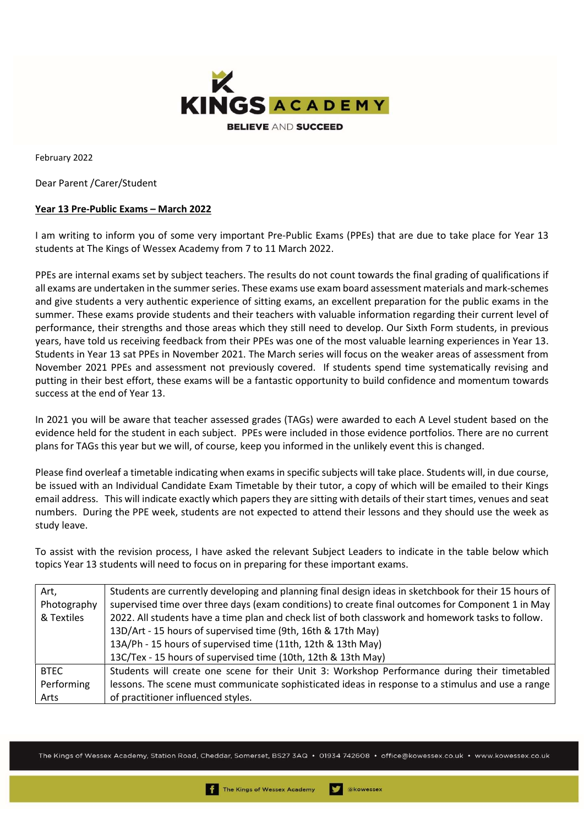

February 2022

Dear Parent /Carer/Student

## Year 13 Pre-Public Exams – March 2022

I am writing to inform you of some very important Pre-Public Exams (PPEs) that are due to take place for Year 13 students at The Kings of Wessex Academy from 7 to 11 March 2022.

PPEs are internal exams set by subject teachers. The results do not count towards the final grading of qualifications if all exams are undertaken in the summer series. These exams use exam board assessment materials and mark-schemes and give students a very authentic experience of sitting exams, an excellent preparation for the public exams in the summer. These exams provide students and their teachers with valuable information regarding their current level of performance, their strengths and those areas which they still need to develop. Our Sixth Form students, in previous years, have told us receiving feedback from their PPEs was one of the most valuable learning experiences in Year 13. Students in Year 13 sat PPEs in November 2021. The March series will focus on the weaker areas of assessment from November 2021 PPEs and assessment not previously covered. If students spend time systematically revising and putting in their best effort, these exams will be a fantastic opportunity to build confidence and momentum towards success at the end of Year 13.

In 2021 you will be aware that teacher assessed grades (TAGs) were awarded to each A Level student based on the evidence held for the student in each subject. PPEs were included in those evidence portfolios. There are no current plans for TAGs this year but we will, of course, keep you informed in the unlikely event this is changed.

Please find overleaf a timetable indicating when exams in specific subjects will take place. Students will, in due course, be issued with an Individual Candidate Exam Timetable by their tutor, a copy of which will be emailed to their Kings email address. This will indicate exactly which papers they are sitting with details of their start times, venues and seat numbers. During the PPE week, students are not expected to attend their lessons and they should use the week as study leave.

To assist with the revision process, I have asked the relevant Subject Leaders to indicate in the table below which topics Year 13 students will need to focus on in preparing for these important exams.

| Art,<br>Photography<br>& Textiles | Students are currently developing and planning final design ideas in sketchbook for their 15 hours of<br>supervised time over three days (exam conditions) to create final outcomes for Component 1 in May<br>2022. All students have a time plan and check list of both classwork and homework tasks to follow.<br>13D/Art - 15 hours of supervised time (9th, 16th & 17th May) |  |  |  |
|-----------------------------------|----------------------------------------------------------------------------------------------------------------------------------------------------------------------------------------------------------------------------------------------------------------------------------------------------------------------------------------------------------------------------------|--|--|--|
|                                   | 13A/Ph - 15 hours of supervised time (11th, 12th & 13th May)                                                                                                                                                                                                                                                                                                                     |  |  |  |
|                                   | 13C/Tex - 15 hours of supervised time (10th, 12th & 13th May)                                                                                                                                                                                                                                                                                                                    |  |  |  |
| <b>BTEC</b>                       | Students will create one scene for their Unit 3: Workshop Performance during their timetabled                                                                                                                                                                                                                                                                                    |  |  |  |
| Performing                        | lessons. The scene must communicate sophisticated ideas in response to a stimulus and use a range                                                                                                                                                                                                                                                                                |  |  |  |
| Arts                              | of practitioner influenced styles.                                                                                                                                                                                                                                                                                                                                               |  |  |  |

The Kings of Wessex Academy, Station Road, Cheddar, Somerset, BS27 3AQ • 01934 742608 • office@kowessex.co.uk • www.kowessex.co.uk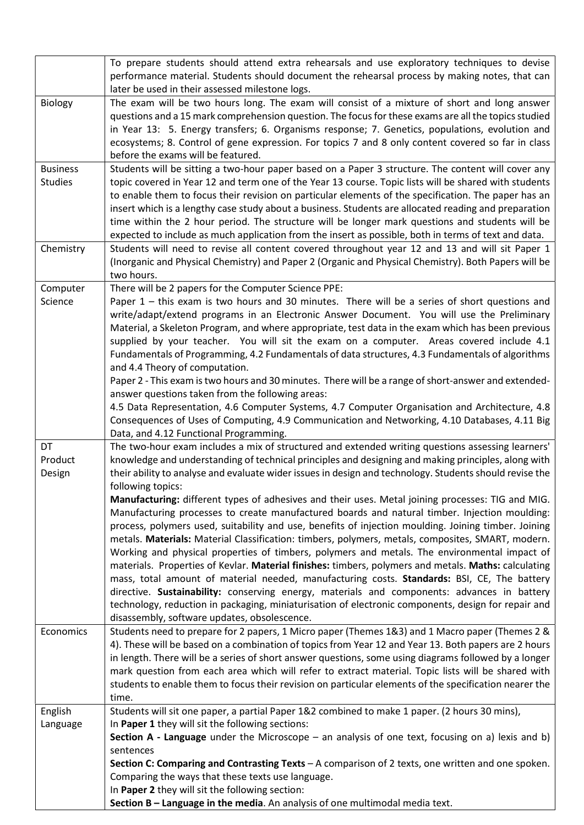|                                   | To prepare students should attend extra rehearsals and use exploratory techniques to devise<br>performance material. Students should document the rehearsal process by making notes, that can<br>later be used in their assessed milestone logs.                                                                                                                                                                                   |  |  |  |  |  |
|-----------------------------------|------------------------------------------------------------------------------------------------------------------------------------------------------------------------------------------------------------------------------------------------------------------------------------------------------------------------------------------------------------------------------------------------------------------------------------|--|--|--|--|--|
| <b>Biology</b>                    | The exam will be two hours long. The exam will consist of a mixture of short and long answer<br>questions and a 15 mark comprehension question. The focus for these exams are all the topics studied                                                                                                                                                                                                                               |  |  |  |  |  |
|                                   | in Year 13: 5. Energy transfers; 6. Organisms response; 7. Genetics, populations, evolution and<br>ecosystems; 8. Control of gene expression. For topics 7 and 8 only content covered so far in class<br>before the exams will be featured.                                                                                                                                                                                        |  |  |  |  |  |
| <b>Business</b><br><b>Studies</b> | Students will be sitting a two-hour paper based on a Paper 3 structure. The content will cover any<br>topic covered in Year 12 and term one of the Year 13 course. Topic lists will be shared with students                                                                                                                                                                                                                        |  |  |  |  |  |
|                                   | to enable them to focus their revision on particular elements of the specification. The paper has an<br>insert which is a lengthy case study about a business. Students are allocated reading and preparation                                                                                                                                                                                                                      |  |  |  |  |  |
|                                   | time within the 2 hour period. The structure will be longer mark questions and students will be<br>expected to include as much application from the insert as possible, both in terms of text and data.                                                                                                                                                                                                                            |  |  |  |  |  |
| Chemistry                         | Students will need to revise all content covered throughout year 12 and 13 and will sit Paper 1<br>(Inorganic and Physical Chemistry) and Paper 2 (Organic and Physical Chemistry). Both Papers will be<br>two hours.                                                                                                                                                                                                              |  |  |  |  |  |
| Computer                          | There will be 2 papers for the Computer Science PPE:                                                                                                                                                                                                                                                                                                                                                                               |  |  |  |  |  |
| Science                           | Paper 1 - this exam is two hours and 30 minutes. There will be a series of short questions and                                                                                                                                                                                                                                                                                                                                     |  |  |  |  |  |
|                                   | write/adapt/extend programs in an Electronic Answer Document. You will use the Preliminary<br>Material, a Skeleton Program, and where appropriate, test data in the exam which has been previous<br>supplied by your teacher. You will sit the exam on a computer. Areas covered include 4.1<br>Fundamentals of Programming, 4.2 Fundamentals of data structures, 4.3 Fundamentals of algorithms<br>and 4.4 Theory of computation. |  |  |  |  |  |
|                                   | Paper 2 - This exam is two hours and 30 minutes. There will be a range of short-answer and extended-<br>answer questions taken from the following areas:                                                                                                                                                                                                                                                                           |  |  |  |  |  |
|                                   | 4.5 Data Representation, 4.6 Computer Systems, 4.7 Computer Organisation and Architecture, 4.8<br>Consequences of Uses of Computing, 4.9 Communication and Networking, 4.10 Databases, 4.11 Big<br>Data, and 4.12 Functional Programming.                                                                                                                                                                                          |  |  |  |  |  |
| DT                                | The two-hour exam includes a mix of structured and extended writing questions assessing learners'                                                                                                                                                                                                                                                                                                                                  |  |  |  |  |  |
| Product<br>Design                 | knowledge and understanding of technical principles and designing and making principles, along with<br>their ability to analyse and evaluate wider issues in design and technology. Students should revise the<br>following topics:                                                                                                                                                                                                |  |  |  |  |  |
|                                   | Manufacturing: different types of adhesives and their uses. Metal joining processes: TIG and MIG.<br>Manufacturing processes to create manufactured boards and natural timber. Injection moulding:<br>process, polymers used, suitability and use, benefits of injection moulding. Joining timber. Joining                                                                                                                         |  |  |  |  |  |
|                                   | metals. Materials: Material Classification: timbers, polymers, metals, composites, SMART, modern.<br>Working and physical properties of timbers, polymers and metals. The environmental impact of                                                                                                                                                                                                                                  |  |  |  |  |  |
|                                   | materials. Properties of Kevlar. Material finishes: timbers, polymers and metals. Maths: calculating<br>mass, total amount of material needed, manufacturing costs. Standards: BSI, CE, The battery                                                                                                                                                                                                                                |  |  |  |  |  |
|                                   | directive. Sustainability: conserving energy, materials and components: advances in battery<br>technology, reduction in packaging, miniaturisation of electronic components, design for repair and                                                                                                                                                                                                                                 |  |  |  |  |  |
|                                   | disassembly, software updates, obsolescence.                                                                                                                                                                                                                                                                                                                                                                                       |  |  |  |  |  |
| Economics                         | Students need to prepare for 2 papers, 1 Micro paper (Themes 1&3) and 1 Macro paper (Themes 2 &<br>4). These will be based on a combination of topics from Year 12 and Year 13. Both papers are 2 hours<br>in length. There will be a series of short answer questions, some using diagrams followed by a longer                                                                                                                   |  |  |  |  |  |
|                                   | mark question from each area which will refer to extract material. Topic lists will be shared with<br>students to enable them to focus their revision on particular elements of the specification nearer the                                                                                                                                                                                                                       |  |  |  |  |  |
|                                   | time.                                                                                                                                                                                                                                                                                                                                                                                                                              |  |  |  |  |  |
| English                           | Students will sit one paper, a partial Paper 1&2 combined to make 1 paper. (2 hours 30 mins),                                                                                                                                                                                                                                                                                                                                      |  |  |  |  |  |
| Language                          | In Paper 1 they will sit the following sections:<br><b>Section A - Language</b> under the Microscope $-$ an analysis of one text, focusing on a) lexis and b)                                                                                                                                                                                                                                                                      |  |  |  |  |  |
|                                   | sentences                                                                                                                                                                                                                                                                                                                                                                                                                          |  |  |  |  |  |
|                                   | Section C: Comparing and Contrasting Texts $-$ A comparison of 2 texts, one written and one spoken.                                                                                                                                                                                                                                                                                                                                |  |  |  |  |  |
|                                   | Comparing the ways that these texts use language.                                                                                                                                                                                                                                                                                                                                                                                  |  |  |  |  |  |
|                                   | In Paper 2 they will sit the following section:                                                                                                                                                                                                                                                                                                                                                                                    |  |  |  |  |  |
|                                   | Section B - Language in the media. An analysis of one multimodal media text.                                                                                                                                                                                                                                                                                                                                                       |  |  |  |  |  |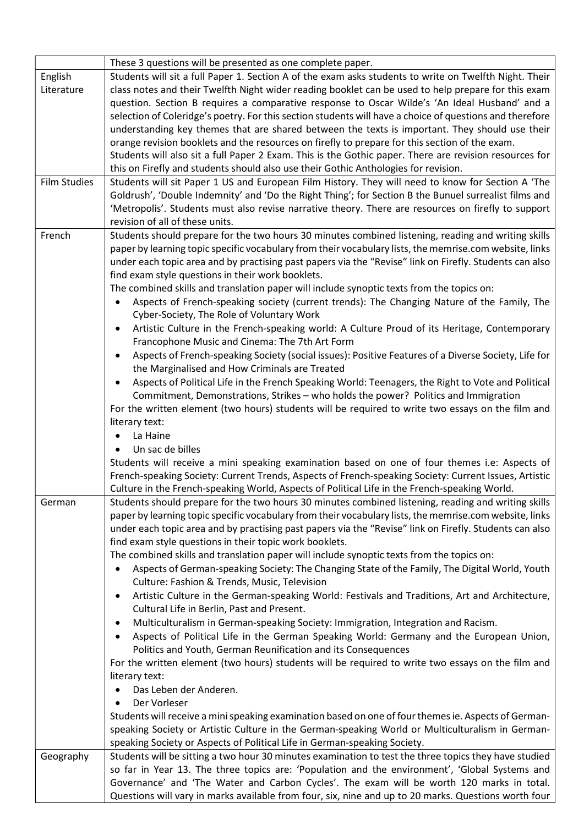|              | These 3 questions will be presented as one complete paper.                                                      |  |  |  |  |  |
|--------------|-----------------------------------------------------------------------------------------------------------------|--|--|--|--|--|
| English      | Students will sit a full Paper 1. Section A of the exam asks students to write on Twelfth Night. Their          |  |  |  |  |  |
| Literature   | class notes and their Twelfth Night wider reading booklet can be used to help prepare for this exam             |  |  |  |  |  |
|              | question. Section B requires a comparative response to Oscar Wilde's 'An Ideal Husband' and a                   |  |  |  |  |  |
|              | selection of Coleridge's poetry. For this section students will have a choice of questions and therefore        |  |  |  |  |  |
|              | understanding key themes that are shared between the texts is important. They should use their                  |  |  |  |  |  |
|              | orange revision booklets and the resources on firefly to prepare for this section of the exam.                  |  |  |  |  |  |
|              | Students will also sit a full Paper 2 Exam. This is the Gothic paper. There are revision resources for          |  |  |  |  |  |
|              | this on Firefly and students should also use their Gothic Anthologies for revision.                             |  |  |  |  |  |
| Film Studies | Students will sit Paper 1 US and European Film History. They will need to know for Section A 'The               |  |  |  |  |  |
|              | Goldrush', 'Double Indemnity' and 'Do the Right Thing'; for Section B the Bunuel surrealist films and           |  |  |  |  |  |
|              | 'Metropolis'. Students must also revise narrative theory. There are resources on firefly to support             |  |  |  |  |  |
|              | revision of all of these units.                                                                                 |  |  |  |  |  |
| French       | Students should prepare for the two hours 30 minutes combined listening, reading and writing skills             |  |  |  |  |  |
|              | paper by learning topic specific vocabulary from their vocabulary lists, the memrise.com website, links         |  |  |  |  |  |
|              | under each topic area and by practising past papers via the "Revise" link on Firefly. Students can also         |  |  |  |  |  |
|              | find exam style questions in their work booklets.                                                               |  |  |  |  |  |
|              | The combined skills and translation paper will include synoptic texts from the topics on:                       |  |  |  |  |  |
|              | Aspects of French-speaking society (current trends): The Changing Nature of the Family, The<br>$\bullet$        |  |  |  |  |  |
|              | Cyber-Society, The Role of Voluntary Work                                                                       |  |  |  |  |  |
|              | Artistic Culture in the French-speaking world: A Culture Proud of its Heritage, Contemporary<br>٠               |  |  |  |  |  |
|              | Francophone Music and Cinema: The 7th Art Form                                                                  |  |  |  |  |  |
|              | Aspects of French-speaking Society (social issues): Positive Features of a Diverse Society, Life for<br>٠       |  |  |  |  |  |
|              | the Marginalised and How Criminals are Treated                                                                  |  |  |  |  |  |
|              | Aspects of Political Life in the French Speaking World: Teenagers, the Right to Vote and Political<br>$\bullet$ |  |  |  |  |  |
|              | Commitment, Demonstrations, Strikes - who holds the power? Politics and Immigration                             |  |  |  |  |  |
|              | For the written element (two hours) students will be required to write two essays on the film and               |  |  |  |  |  |
|              | literary text:                                                                                                  |  |  |  |  |  |
|              | La Haine<br>٠                                                                                                   |  |  |  |  |  |
|              | Un sac de billes                                                                                                |  |  |  |  |  |
|              | Students will receive a mini speaking examination based on one of four themes i.e: Aspects of                   |  |  |  |  |  |
|              | French-speaking Society: Current Trends, Aspects of French-speaking Society: Current Issues, Artistic           |  |  |  |  |  |
|              | Culture in the French-speaking World, Aspects of Political Life in the French-speaking World.                   |  |  |  |  |  |
| German       | Students should prepare for the two hours 30 minutes combined listening, reading and writing skills             |  |  |  |  |  |
|              | paper by learning topic specific vocabulary from their vocabulary lists, the memrise.com website, links         |  |  |  |  |  |
|              | under each topic area and by practising past papers via the "Revise" link on Firefly. Students can also         |  |  |  |  |  |
|              | find exam style questions in their topic work booklets.                                                         |  |  |  |  |  |
|              | The combined skills and translation paper will include synoptic texts from the topics on:                       |  |  |  |  |  |
|              | Aspects of German-speaking Society: The Changing State of the Family, The Digital World, Youth                  |  |  |  |  |  |
|              | Culture: Fashion & Trends, Music, Television                                                                    |  |  |  |  |  |
|              | Artistic Culture in the German-speaking World: Festivals and Traditions, Art and Architecture,<br>$\bullet$     |  |  |  |  |  |
|              | Cultural Life in Berlin, Past and Present.                                                                      |  |  |  |  |  |
|              | Multiculturalism in German-speaking Society: Immigration, Integration and Racism.<br>٠                          |  |  |  |  |  |
|              | Aspects of Political Life in the German Speaking World: Germany and the European Union,<br>$\bullet$            |  |  |  |  |  |
|              | Politics and Youth, German Reunification and its Consequences                                                   |  |  |  |  |  |
|              | For the written element (two hours) students will be required to write two essays on the film and               |  |  |  |  |  |
|              | literary text:                                                                                                  |  |  |  |  |  |
|              | Das Leben der Anderen.                                                                                          |  |  |  |  |  |
|              | Der Vorleser                                                                                                    |  |  |  |  |  |
|              | Students will receive a mini speaking examination based on one of four themes ie. Aspects of German-            |  |  |  |  |  |
|              | speaking Society or Artistic Culture in the German-speaking World or Multiculturalism in German-                |  |  |  |  |  |
|              | speaking Society or Aspects of Political Life in German-speaking Society.                                       |  |  |  |  |  |
| Geography    | Students will be sitting a two hour 30 minutes examination to test the three topics they have studied           |  |  |  |  |  |
|              | so far in Year 13. The three topics are: 'Population and the environment', 'Global Systems and                  |  |  |  |  |  |
|              | Governance' and 'The Water and Carbon Cycles'. The exam will be worth 120 marks in total.                       |  |  |  |  |  |
|              | Questions will vary in marks available from four, six, nine and up to 20 marks. Questions worth four            |  |  |  |  |  |
|              |                                                                                                                 |  |  |  |  |  |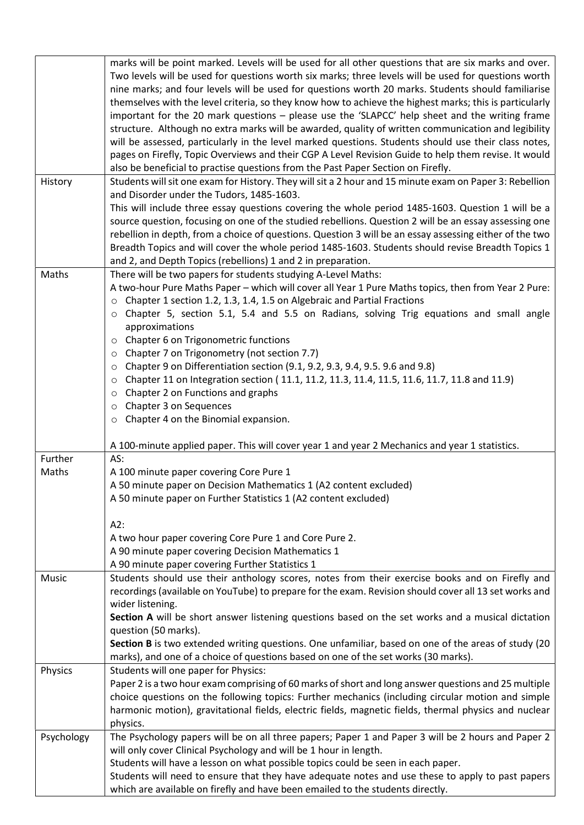|            | marks will be point marked. Levels will be used for all other questions that are six marks and over.    |  |  |  |  |
|------------|---------------------------------------------------------------------------------------------------------|--|--|--|--|
|            | Two levels will be used for questions worth six marks; three levels will be used for questions worth    |  |  |  |  |
|            | nine marks; and four levels will be used for questions worth 20 marks. Students should familiarise      |  |  |  |  |
|            | themselves with the level criteria, so they know how to achieve the highest marks; this is particularly |  |  |  |  |
|            | important for the 20 mark questions - please use the 'SLAPCC' help sheet and the writing frame          |  |  |  |  |
|            | structure. Although no extra marks will be awarded, quality of written communication and legibility     |  |  |  |  |
|            | will be assessed, particularly in the level marked questions. Students should use their class notes,    |  |  |  |  |
|            | pages on Firefly, Topic Overviews and their CGP A Level Revision Guide to help them revise. It would    |  |  |  |  |
|            | also be beneficial to practise questions from the Past Paper Section on Firefly.                        |  |  |  |  |
| History    | Students will sit one exam for History. They will sit a 2 hour and 15 minute exam on Paper 3: Rebellion |  |  |  |  |
|            | and Disorder under the Tudors, 1485-1603.                                                               |  |  |  |  |
|            | This will include three essay questions covering the whole period 1485-1603. Question 1 will be a       |  |  |  |  |
|            | source question, focusing on one of the studied rebellions. Question 2 will be an essay assessing one   |  |  |  |  |
|            | rebellion in depth, from a choice of questions. Question 3 will be an essay assessing either of the two |  |  |  |  |
|            | Breadth Topics and will cover the whole period 1485-1603. Students should revise Breadth Topics 1       |  |  |  |  |
|            | and 2, and Depth Topics (rebellions) 1 and 2 in preparation.                                            |  |  |  |  |
| Maths      | There will be two papers for students studying A-Level Maths:                                           |  |  |  |  |
|            | A two-hour Pure Maths Paper - which will cover all Year 1 Pure Maths topics, then from Year 2 Pure:     |  |  |  |  |
|            | Chapter 1 section 1.2, 1.3, 1.4, 1.5 on Algebraic and Partial Fractions<br>$\circ$                      |  |  |  |  |
|            | Chapter 5, section 5.1, 5.4 and 5.5 on Radians, solving Trig equations and small angle<br>$\circ$       |  |  |  |  |
|            | approximations                                                                                          |  |  |  |  |
|            | Chapter 6 on Trigonometric functions<br>$\circ$                                                         |  |  |  |  |
|            | Chapter 7 on Trigonometry (not section 7.7)<br>O                                                        |  |  |  |  |
|            | Chapter 9 on Differentiation section (9.1, 9.2, 9.3, 9.4, 9.5. 9.6 and 9.8)<br>O                        |  |  |  |  |
|            | Chapter 11 on Integration section (11.1, 11.2, 11.3, 11.4, 11.5, 11.6, 11.7, 11.8 and 11.9)<br>$\circ$  |  |  |  |  |
|            | Chapter 2 on Functions and graphs<br>$\circ$                                                            |  |  |  |  |
|            | Chapter 3 on Sequences<br>O                                                                             |  |  |  |  |
|            | Chapter 4 on the Binomial expansion.<br>$\circ$                                                         |  |  |  |  |
|            | A 100-minute applied paper. This will cover year 1 and year 2 Mechanics and year 1 statistics.          |  |  |  |  |
| Further    | AS:                                                                                                     |  |  |  |  |
| Maths      | A 100 minute paper covering Core Pure 1                                                                 |  |  |  |  |
|            | A 50 minute paper on Decision Mathematics 1 (A2 content excluded)                                       |  |  |  |  |
|            | A 50 minute paper on Further Statistics 1 (A2 content excluded)                                         |  |  |  |  |
|            |                                                                                                         |  |  |  |  |
|            | A2:                                                                                                     |  |  |  |  |
|            | A two hour paper covering Core Pure 1 and Core Pure 2.                                                  |  |  |  |  |
|            | A 90 minute paper covering Decision Mathematics 1                                                       |  |  |  |  |
|            | A 90 minute paper covering Further Statistics 1                                                         |  |  |  |  |
| Music      | Students should use their anthology scores, notes from their exercise books and on Firefly and          |  |  |  |  |
|            | recordings (available on YouTube) to prepare for the exam. Revision should cover all 13 set works and   |  |  |  |  |
|            | wider listening.                                                                                        |  |  |  |  |
|            | Section A will be short answer listening questions based on the set works and a musical dictation       |  |  |  |  |
|            | question (50 marks).                                                                                    |  |  |  |  |
|            | Section B is two extended writing questions. One unfamiliar, based on one of the areas of study (20     |  |  |  |  |
|            |                                                                                                         |  |  |  |  |
| Physics    | marks), and one of a choice of questions based on one of the set works (30 marks).                      |  |  |  |  |
|            | Students will one paper for Physics:                                                                    |  |  |  |  |
|            | Paper 2 is a two hour exam comprising of 60 marks of short and long answer questions and 25 multiple    |  |  |  |  |
|            | choice questions on the following topics: Further mechanics (including circular motion and simple       |  |  |  |  |
|            | harmonic motion), gravitational fields, electric fields, magnetic fields, thermal physics and nuclear   |  |  |  |  |
|            | physics.                                                                                                |  |  |  |  |
| Psychology | The Psychology papers will be on all three papers; Paper 1 and Paper 3 will be 2 hours and Paper 2      |  |  |  |  |
|            | will only cover Clinical Psychology and will be 1 hour in length.                                       |  |  |  |  |
|            | Students will have a lesson on what possible topics could be seen in each paper.                        |  |  |  |  |
|            | Students will need to ensure that they have adequate notes and use these to apply to past papers        |  |  |  |  |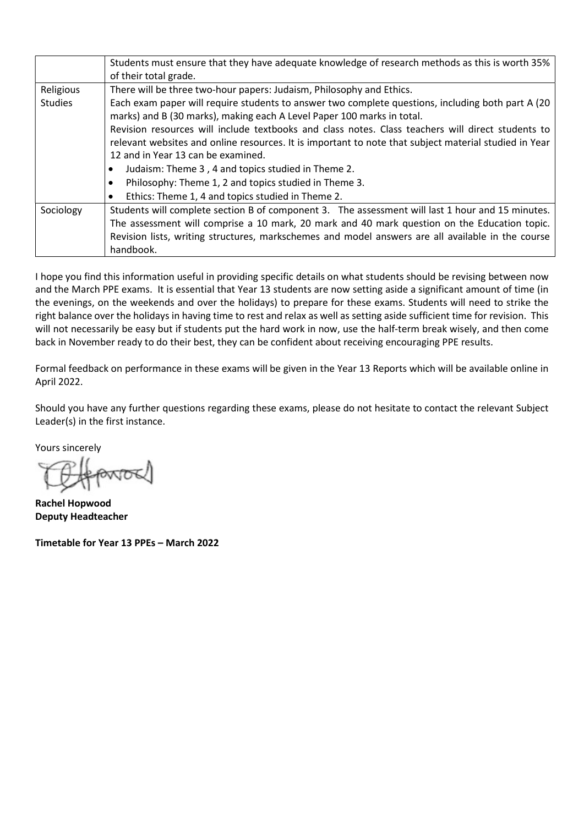|                | Students must ensure that they have adequate knowledge of research methods as this is worth 35%<br>of their total grade. |  |  |  |  |  |  |
|----------------|--------------------------------------------------------------------------------------------------------------------------|--|--|--|--|--|--|
| Religious      | There will be three two-hour papers: Judaism, Philosophy and Ethics.                                                     |  |  |  |  |  |  |
| <b>Studies</b> | Each exam paper will require students to answer two complete questions, including both part A (20)                       |  |  |  |  |  |  |
|                | marks) and B (30 marks), making each A Level Paper 100 marks in total.                                                   |  |  |  |  |  |  |
|                | Revision resources will include textbooks and class notes. Class teachers will direct students to                        |  |  |  |  |  |  |
|                | relevant websites and online resources. It is important to note that subject material studied in Year                    |  |  |  |  |  |  |
|                | 12 and in Year 13 can be examined.                                                                                       |  |  |  |  |  |  |
|                | Judaism: Theme 3, 4 and topics studied in Theme 2.                                                                       |  |  |  |  |  |  |
|                | Philosophy: Theme 1, 2 and topics studied in Theme 3.                                                                    |  |  |  |  |  |  |
|                | Ethics: Theme 1, 4 and topics studied in Theme 2.                                                                        |  |  |  |  |  |  |
| Sociology      | Students will complete section B of component 3. The assessment will last 1 hour and 15 minutes.                         |  |  |  |  |  |  |
|                | The assessment will comprise a 10 mark, 20 mark and 40 mark question on the Education topic.                             |  |  |  |  |  |  |
|                | Revision lists, writing structures, markschemes and model answers are all available in the course                        |  |  |  |  |  |  |
|                | handbook.                                                                                                                |  |  |  |  |  |  |

I hope you find this information useful in providing specific details on what students should be revising between now and the March PPE exams. It is essential that Year 13 students are now setting aside a significant amount of time (in the evenings, on the weekends and over the holidays) to prepare for these exams. Students will need to strike the right balance over the holidays in having time to rest and relax as well as setting aside sufficient time for revision. This will not necessarily be easy but if students put the hard work in now, use the half-term break wisely, and then come back in November ready to do their best, they can be confident about receiving encouraging PPE results.

Formal feedback on performance in these exams will be given in the Year 13 Reports which will be available online in April 2022.

Should you have any further questions regarding these exams, please do not hesitate to contact the relevant Subject Leader(s) in the first instance.

Yours sincerely

Rachel Hopwood Deputy Headteacher

Timetable for Year 13 PPEs – March 2022